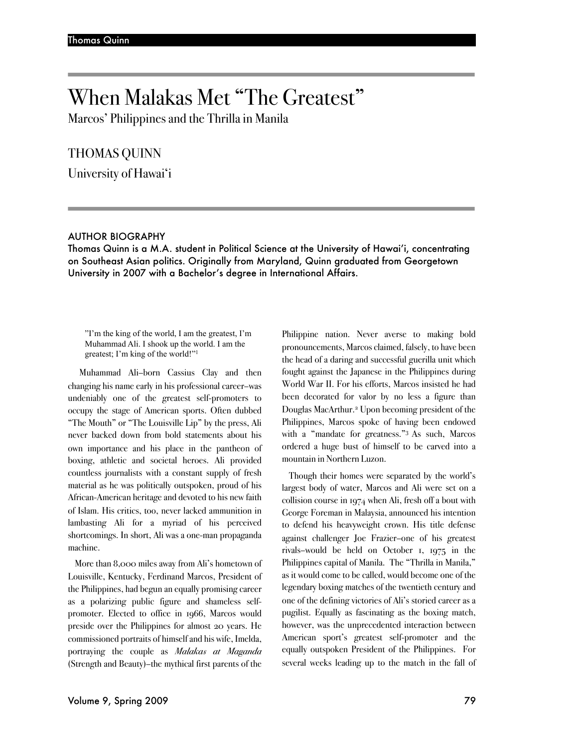# When Malakas Met "The Greatest"

Marcos' Philippines and the Thrilla in Manila

# THOMAS QUINN

University of Hawai'i

## AUTHOR BIOGRAPHY

Thomas Quinn is a M.A. student in Political Science at the University of Hawai'i, concentrating on Southeast Asian politics. Originally from Maryland, Quinn graduated from Georgetown University in 2007 with a Bachelor's degree in International Affairs.

"I'm the king of the world, I am the greatest, I'm Muhammad Ali. I shook up the world. I am the greatest; I'm king of the world!"1

Muhammad Ali–born Cassius Clay and then changing his name early in his professional career–was undeniably one of the greatest self-promoters to occupy the stage of American sports. Often dubbed "The Mouth" or "The Louisville Lip" by the press, Ali never backed down from bold statements about his own importance and his place in the pantheon of boxing, athletic and societal heroes. Ali provided countless journalists with a constant supply of fresh material as he was politically outspoken, proud of his African-American heritage and devoted to his new faith of Islam. His critics, too, never lacked ammunition in lambasting Ali for a myriad of his perceived shortcomings. In short, Ali was a one-man propaganda machine.

More than 8,000 miles away from Ali's hometown of Louisville, Kentucky, Ferdinand Marcos, President of the Philippines, had begun an equally promising career as a polarizing public figure and shameless selfpromoter. Elected to office in 1966, Marcos would preside over the Philippines for almost 20 years. He commissioned portraits of himself and his wife, Imelda, portraying the couple as *Malakas at Maganda* (Strength and Beauty)–the mythical first parents of the

Philippine nation. Never averse to making bold pronouncements, Marcos claimed, falsely, to have been the head of a daring and successful guerilla unit which fought against the Japanese in the Philippines during World War II. For his efforts, Marcos insisted he had been decorated for valor by no less a figure than Douglas MacArthur.2 Upon becoming president of the Philippines, Marcos spoke of having been endowed with a "mandate for greatness."3 As such, Marcos ordered a huge bust of himself to be carved into a mountain in Northern Luzon.

Though their homes were separated by the world's largest body of water, Marcos and Ali were set on a collision course in 1974 when Ali, fresh off a bout with George Foreman in Malaysia, announced his intention to defend his heavyweight crown. His title defense against challenger Joe Frazier–one of his greatest rivals–would be held on October 1, 1975 in the Philippines capital of Manila. The "Thrilla in Manila," as it would come to be called, would become one of the legendary boxing matches of the twentieth century and one of the defining victories of Ali's storied career as a pugilist. Equally as fascinating as the boxing match, however, was the unprecedented interaction between American sport's greatest self-promoter and the equally outspoken President of the Philippines. For several weeks leading up to the match in the fall of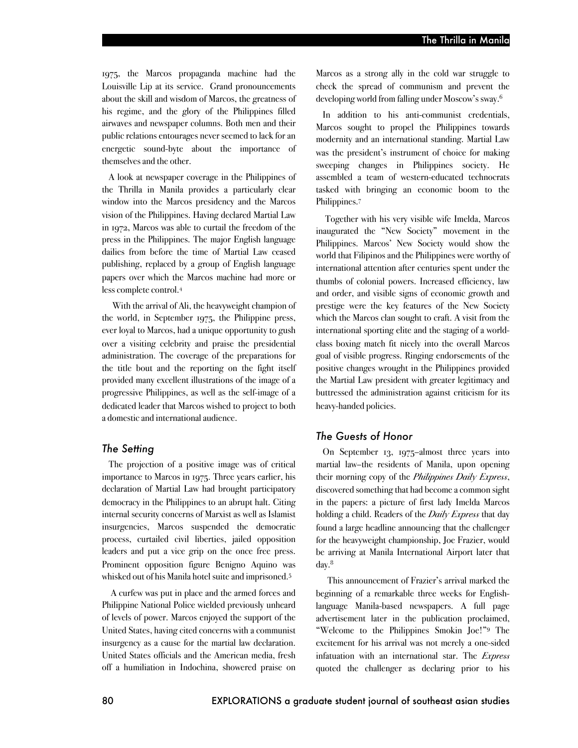1975, the Marcos propaganda machine had the Louisville Lip at its service. Grand pronouncements about the skill and wisdom of Marcos, the greatness of his regime, and the glory of the Philippines filled airwaves and newspaper columns. Both men and their public relations entourages never seemed to lack for an energetic sound-byte about the importance of themselves and the other.

A look at newspaper coverage in the Philippines of the Thrilla in Manila provides a particularly clear window into the Marcos presidency and the Marcos vision of the Philippines. Having declared Martial Law in 1972, Marcos was able to curtail the freedom of the press in the Philippines. The major English language dailies from before the time of Martial Law ceased publishing, replaced by a group of English language papers over which the Marcos machine had more or less complete control.4

With the arrival of Ali, the heavyweight champion of the world, in September 1975, the Philippine press, ever loyal to Marcos, had a unique opportunity to gush over a visiting celebrity and praise the presidential administration. The coverage of the preparations for the title bout and the reporting on the fight itself provided many excellent illustrations of the image of a progressive Philippines, as well as the self-image of a dedicated leader that Marcos wished to project to both a domestic and international audience.

#### *The Setting*

The projection of a positive image was of critical importance to Marcos in 1975. Three years earlier, his declaration of Martial Law had brought participatory democracy in the Philippines to an abrupt halt. Citing internal security concerns of Marxist as well as Islamist insurgencies, Marcos suspended the democratic process, curtailed civil liberties, jailed opposition leaders and put a vice grip on the once free press. Prominent opposition figure Benigno Aquino was whisked out of his Manila hotel suite and imprisoned.5

A curfew was put in place and the armed forces and Philippine National Police wielded previously unheard of levels of power. Marcos enjoyed the support of the United States, having cited concerns with a communist insurgency as a cause for the martial law declaration. United States officials and the American media, fresh off a humiliation in Indochina, showered praise on

Marcos as a strong ally in the cold war struggle to check the spread of communism and prevent the developing world from falling under Moscow's sway.6

In addition to his anti-communist credentials, Marcos sought to propel the Philippines towards modernity and an international standing. Martial Law was the president's instrument of choice for making sweeping changes in Philippines society. He assembled a team of western-educated technocrats tasked with bringing an economic boom to the Philippines.7

Together with his very visible wife Imelda, Marcos inaugurated the "New Society" movement in the Philippines. Marcos' New Society would show the world that Filipinos and the Philippines were worthy of international attention after centuries spent under the thumbs of colonial powers. Increased efficiency, law and order, and visible signs of economic growth and prestige were the key features of the New Society which the Marcos clan sought to craft. A visit from the international sporting elite and the staging of a worldclass boxing match fit nicely into the overall Marcos goal of visible progress. Ringing endorsements of the positive changes wrought in the Philippines provided the Martial Law president with greater legitimacy and buttressed the administration against criticism for its heavy-handed policies.

## *The Guests of Honor*

On September 13, 1975–almost three years into martial law–the residents of Manila, upon opening their morning copy of the *Philippines Daily Express*, discovered something that had become a common sight in the papers: a picture of first lady Imelda Marcos holding a child. Readers of the *Daily Express* that day found a large headline announcing that the challenger for the heavyweight championship, Joe Frazier, would be arriving at Manila International Airport later that day.<sup>8</sup>

This announcement of Frazier's arrival marked the beginning of a remarkable three weeks for Englishlanguage Manila-based newspapers. A full page advertisement later in the publication proclaimed, "Welcome to the Philippines Smokin Joe!"9 The excitement for his arrival was not merely a one-sided infatuation with an international star. The *Express* quoted the challenger as declaring prior to his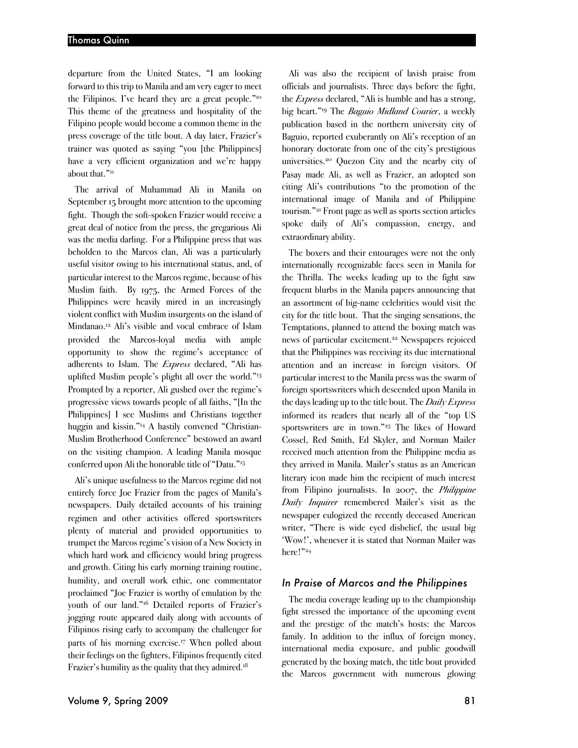departure from the United States, "I am looking forward to this trip to Manila and am very eager to meet the Filipinos. I've heard they are a great people."10 This theme of the greatness and hospitality of the Filipino people would become a common theme in the press coverage of the title bout. A day later, Frazier's trainer was quoted as saying "you [the Philippines] have a very efficient organization and we're happy about that."<sup>11</sup>

The arrival of Muhammad Ali in Manila on September 15 brought more attention to the upcoming fight. Though the soft-spoken Frazier would receive a great deal of notice from the press, the gregarious Ali was the media darling. For a Philippine press that was beholden to the Marcos clan, Ali was a particularly useful visitor owing to his international status, and, of particular interest to the Marcos regime, because of his Muslim faith. By 1975, the Armed Forces of the Philippines were heavily mired in an increasingly violent conflict with Muslim insurgents on the island of Mindanao.12 Ali's visible and vocal embrace of Islam provided the Marcos-loyal media with ample opportunity to show the regime's acceptance of adherents to Islam. The *Express* declared, "Ali has uplifted Muslim people's plight all over the world."13 Prompted by a reporter, Ali gushed over the regime's progressive views towards people of all faiths, "[In the Philippines] I see Muslims and Christians together huggin and kissin."14 A hastily convened "Christian-Muslim Brotherhood Conference" bestowed an award on the visiting champion. A leading Manila mosque conferred upon Ali the honorable title of "Datu."15

Ali's unique usefulness to the Marcos regime did not entirely force Joe Frazier from the pages of Manila's newspapers. Daily detailed accounts of his training regimen and other activities offered sportswriters plenty of material and provided opportunities to trumpet the Marcos regime's vision of a New Society in which hard work and efficiency would bring progress and growth. Citing his early morning training routine, humility, and overall work ethic, one commentator proclaimed "Joe Frazier is worthy of emulation by the youth of our land."16 Detailed reports of Frazier's jogging route appeared daily along with accounts of Filipinos rising early to accompany the challenger for parts of his morning exercise.<sup>17</sup> When polled about their feelings on the fighters, Filipinos frequently cited Frazier's humility as the quality that they admired.<sup>18</sup>

Ali was also the recipient of lavish praise from officials and journalists. Three days before the fight, the *Express* declared, "Ali is humble and has a strong, big heart."19 The *Baguio Midland Courier*, a weekly publication based in the northern university city of Baguio, reported exuberantly on Ali's reception of an honorary doctorate from one of the city's prestigious universities.20 Quezon City and the nearby city of Pasay made Ali, as well as Frazier, an adopted son citing Ali's contributions "to the promotion of the international image of Manila and of Philippine tourism."21 Front page as well as sports section articles spoke daily of Ali's compassion, energy, and extraordinary ability.

The boxers and their entourages were not the only internationally recognizable faces seen in Manila for the Thrilla. The weeks leading up to the fight saw frequent blurbs in the Manila papers announcing that an assortment of big-name celebrities would visit the city for the title bout. That the singing sensations, the Temptations, planned to attend the boxing match was news of particular excitement.22 Newspapers rejoiced that the Philippines was receiving its due international attention and an increase in foreign visitors. Of particular interest to the Manila press was the swarm of foreign sportswriters which descended upon Manila in the days leading up to the title bout. The *Daily Express*  informed its readers that nearly all of the "top US sportswriters are in town."23 The likes of Howard Cossel, Red Smith, Ed Skyler, and Norman Mailer received much attention from the Philippine media as they arrived in Manila. Mailer's status as an American literary icon made him the recipient of much interest from Filipino journalists. In 2007, the *Philippine Daily Inquirer* remembered Mailer's visit as the newspaper eulogized the recently deceased American writer, "There is wide eyed disbelief, the usual big 'Wow!', whenever it is stated that Norman Mailer was here!"24

## *In Praise of Marcos and the Philippines*

The media coverage leading up to the championship fight stressed the importance of the upcoming event and the prestige of the match's hosts: the Marcos family. In addition to the influx of foreign money, international media exposure, and public goodwill generated by the boxing match, the title bout provided the Marcos government with numerous glowing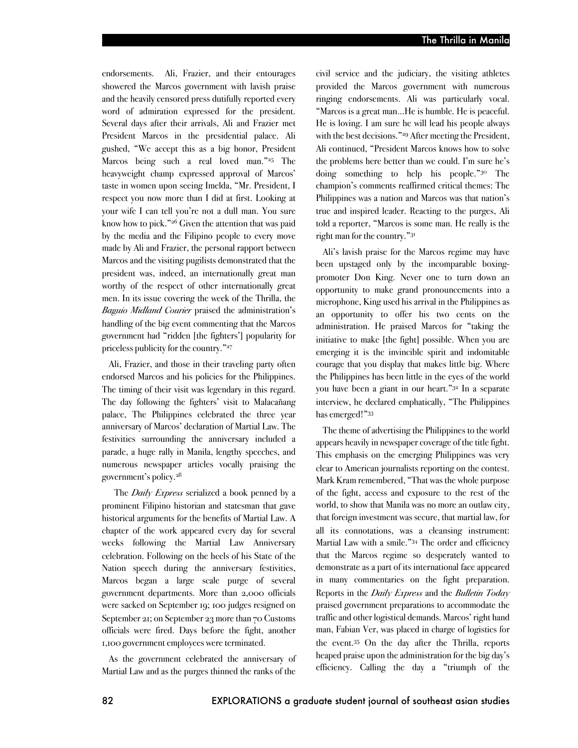endorsements. Ali, Frazier, and their entourages showered the Marcos government with lavish praise and the heavily censored press dutifully reported every word of admiration expressed for the president. Several days after their arrivals, Ali and Frazier met President Marcos in the presidential palace. Ali gushed, "We accept this as a big honor, President Marcos being such a real loved man."<sup>25</sup> The heavyweight champ expressed approval of Marcos' taste in women upon seeing Imelda, "Mr. President, I respect you now more than I did at first. Looking at your wife I can tell you're not a dull man. You sure know how to pick."26 Given the attention that was paid by the media and the Filipino people to every move made by Ali and Frazier, the personal rapport between Marcos and the visiting pugilists demonstrated that the president was, indeed, an internationally great man worthy of the respect of other internationally great men. In its issue covering the week of the Thrilla, the *Baguio Midland Courier* praised the administration's handling of the big event commenting that the Marcos government had "ridden [the fighters'] popularity for priceless publicity for the country."<sup>27</sup>

Ali, Frazier, and those in their traveling party often endorsed Marcos and his policies for the Philippines. The timing of their visit was legendary in this regard. The day following the fighters' visit to Malacañang palace, The Philippines celebrated the three year anniversary of Marcos' declaration of Martial Law. The festivities surrounding the anniversary included a parade, a huge rally in Manila, lengthy speeches, and numerous newspaper articles vocally praising the government's policy.28

The *Daily Express* serialized a book penned by a prominent Filipino historian and statesman that gave historical arguments for the benefits of Martial Law. A chapter of the work appeared every day for several weeks following the Martial Law Anniversary celebration. Following on the heels of his State of the Nation speech during the anniversary festivities, Marcos began a large scale purge of several government departments. More than 2,000 officials were sacked on September 19; 100 judges resigned on September 21; on September 23 more than 70 Customs officials were fired. Days before the fight, another 1,100 government employees were terminated.

As the government celebrated the anniversary of Martial Law and as the purges thinned the ranks of the

civil service and the judiciary, the visiting athletes provided the Marcos government with numerous ringing endorsements. Ali was particularly vocal. "Marcos is a great man…He is humble. He is peaceful. He is loving. I am sure he will lead his people always with the best decisions."29 After meeting the President, Ali continued, "President Marcos knows how to solve the problems here better than we could. I'm sure he's doing something to help his people."<sup>30</sup> The champion's comments reaffirmed critical themes: The Philippines was a nation and Marcos was that nation's true and inspired leader. Reacting to the purges, Ali told a reporter, "Marcos is some man. He really is the right man for the country."31

Ali's lavish praise for the Marcos regime may have been upstaged only by the incomparable boxingpromoter Don King. Never one to turn down an opportunity to make grand pronouncements into a microphone, King used his arrival in the Philippines as an opportunity to offer his two cents on the administration. He praised Marcos for "taking the initiative to make [the fight] possible. When you are emerging it is the invincible spirit and indomitable courage that you display that makes little big. Where the Philippines has been little in the eyes of the world you have been a giant in our heart."32 In a separate interview, he declared emphatically, "The Philippines has emerged!"33

The theme of advertising the Philippines to the world appears heavily in newspaper coverage of the title fight. This emphasis on the emerging Philippines was very clear to American journalists reporting on the contest. Mark Kram remembered, "That was the whole purpose of the fight, access and exposure to the rest of the world, to show that Manila was no more an outlaw city, that foreign investment was secure, that martial law, for all its connotations, was a cleansing instrument: Martial Law with a smile."34 The order and efficiency that the Marcos regime so desperately wanted to demonstrate as a part of its international face appeared in many commentaries on the fight preparation. Reports in the *Daily Express* and the *Bulletin Today* praised government preparations to accommodate the traffic and other logistical demands. Marcos' right hand man, Fabian Ver, was placed in charge of logistics for the event.35 On the day after the Thrilla, reports heaped praise upon the administration for the big day's efficiency. Calling the day a "triumph of the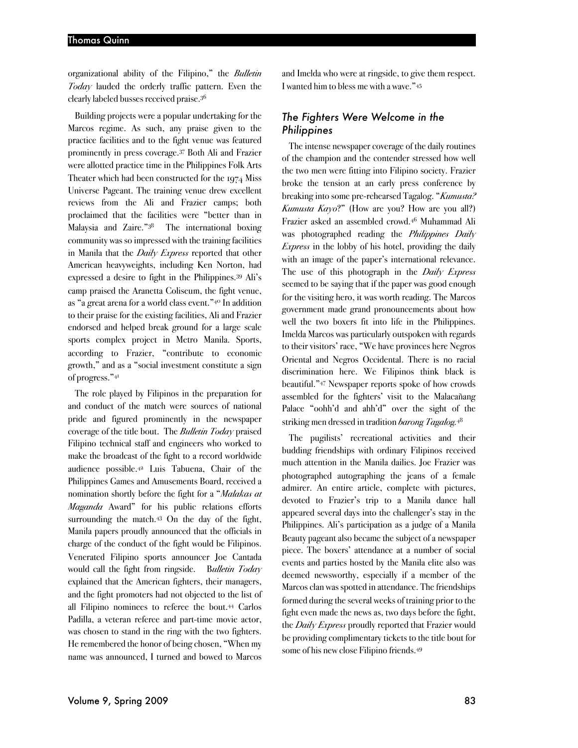organizational ability of the Filipino," the *Bulletin Today* lauded the orderly traffic pattern. Even the clearly labeled busses received praise.36

Building projects were a popular undertaking for the Marcos regime. As such, any praise given to the practice facilities and to the fight venue was featured prominently in press coverage.37 Both Ali and Frazier were allotted practice time in the Philippines Folk Arts Theater which had been constructed for the 1974 Miss Universe Pageant. The training venue drew excellent reviews from the Ali and Frazier camps; both proclaimed that the facilities were "better than in Malaysia and Zaire."38 The international boxing community was so impressed with the training facilities in Manila that the *Daily Express* reported that other American heavyweights, including Ken Norton, had expressed a desire to fight in the Philippines.39 Ali's camp praised the Aranetta Coliseum, the fight venue, as "a great arena for a world class event."40 In addition to their praise for the existing facilities, Ali and Frazier endorsed and helped break ground for a large scale sports complex project in Metro Manila. Sports, according to Frazier, "contribute to economic growth," and as a "social investment constitute a sign of progress."41

The role played by Filipinos in the preparation for and conduct of the match were sources of national pride and figured prominently in the newspaper coverage of the title bout. The *Bulletin Today* praised Filipino technical staff and engineers who worked to make the broadcast of the fight to a record worldwide audience possible.42 Luis Tabuena, Chair of the Philippines Games and Amusements Board, received a nomination shortly before the fight for a "*Malakas at Maganda* Award" for his public relations efforts surrounding the match.<sup>43</sup> On the day of the fight, Manila papers proudly announced that the officials in charge of the conduct of the fight would be Filipinos. Venerated Filipino sports announcer Joe Cantada would call the fight from ringside. B*ulletin Today* explained that the American fighters, their managers, and the fight promoters had not objected to the list of all Filipino nominees to referee the bout.44 Carlos Padilla, a veteran referee and part-time movie actor, was chosen to stand in the ring with the two fighters. He remembered the honor of being chosen, "When my name was announced, I turned and bowed to Marcos

and Imelda who were at ringside, to give them respect. I wanted him to bless me with a wave."45

## *The Fighters Were Welcome in the Philippines*

The intense newspaper coverage of the daily routines of the champion and the contender stressed how well the two men were fitting into Filipino society. Frazier broke the tension at an early press conference by breaking into some pre-rehearsed Tagalog. "*Kumusta? Kumusta Kayo*?" (How are you? How are you all?) Frazier asked an assembled crowd.46 Muhammad Ali was photographed reading the *Philippines Daily Express* in the lobby of his hotel, providing the daily with an image of the paper's international relevance. The use of this photograph in the *Daily Express* seemed to be saying that if the paper was good enough for the visiting hero, it was worth reading. The Marcos government made grand pronouncements about how well the two boxers fit into life in the Philippines. Imelda Marcos was particularly outspoken with regards to their visitors' race, "We have provinces here Negros Oriental and Negros Occidental. There is no racial discrimination here. We Filipinos think black is beautiful."47 Newspaper reports spoke of how crowds assembled for the fighters' visit to the Malacañang Palace "oohh'd and ahh'd" over the sight of the striking men dressed in tradition *barong Tagalog.*<sup>48</sup>

The pugilists' recreational activities and their budding friendships with ordinary Filipinos received much attention in the Manila dailies. Joe Frazier was photographed autographing the jeans of a female admirer. An entire article, complete with pictures, devoted to Frazier's trip to a Manila dance hall appeared several days into the challenger's stay in the Philippines. Ali's participation as a judge of a Manila Beauty pageant also became the subject of a newspaper piece. The boxers' attendance at a number of social events and parties hosted by the Manila elite also was deemed newsworthy, especially if a member of the Marcos clan was spotted in attendance. The friendships formed during the several weeks of training prior to the fight even made the news as, two days before the fight, the *Daily Express* proudly reported that Frazier would be providing complimentary tickets to the title bout for some of his new close Filipino friends.49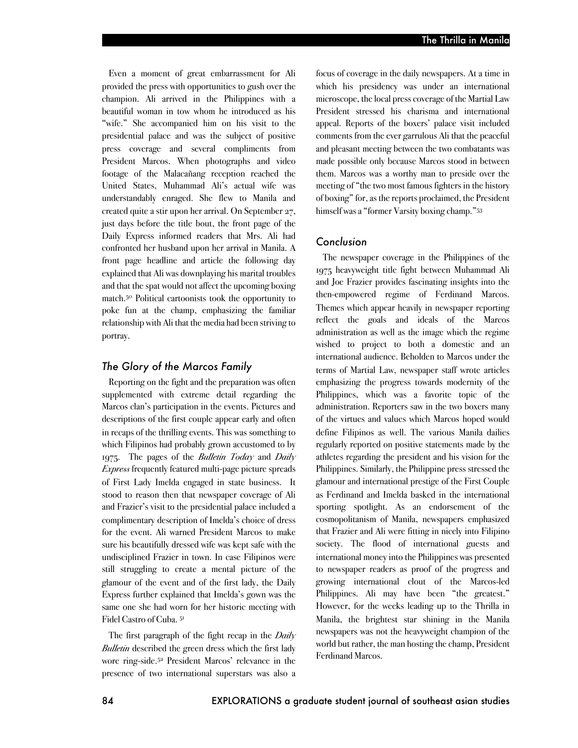Even a moment of great embarrassment for Ali provided the press with opportunities to gush over the champion. Ali arrived in the Philippines with a beautiful woman in tow whom he introduced as his "wife." She accompanied him on his visit to the presidential palace and was the subject of positive press coverage and several compliments from President Marcos. When photographs and video footage of the Malacañang reception reached the United States, Muhammad Ali's actual wife was understandably enraged. She flew to Manila and created quite a stir upon her arrival. On September 27, just days before the title bout, the front page of the Daily Express informed readers that Mrs. Ali had confronted her husband upon her arrival in Manila. A front page headline and article the following day explained that Ali was downplaying his marital troubles and that the spat would not affect the upcoming boxing match.50 Political cartoonists took the opportunity to poke fun at the champ, emphasizing the familiar relationship with Ali that the media had been striving to portray.

#### *The Glory of the Marcos Family*

Reporting on the fight and the preparation was often supplemented with extreme detail regarding the Marcos clan's participation in the events. Pictures and descriptions of the first couple appear early and often in recaps of the thrilling events. This was something to which Filipinos had probably grown accustomed to by 1975. The pages of the *Bulletin Today* and *Daily Express* frequently featured multi-page picture spreads of First Lady Imelda engaged in state business. It stood to reason then that newspaper coverage of Ali and Frazier's visit to the presidential palace included a complimentary description of Imelda's choice of dress for the event. Ali warned President Marcos to make sure his beautifully dressed wife was kept safe with the undisciplined Frazier in town. In case Filipinos were still struggling to create a mental picture of the glamour of the event and of the first lady, the Daily Express further explained that Imelda's gown was the same one she had worn for her historic meeting with Fidel Castro of Cuba. 51

The first paragraph of the fight recap in the *Daily Bulletin* described the green dress which the first lady wore ring-side.52 President Marcos' relevance in the presence of two international superstars was also a

focus of coverage in the daily newspapers. At a time in which his presidency was under an international microscope, the local press coverage of the Martial Law President stressed his charisma and international appeal. Reports of the boxers' palace visit included comments from the ever garrulous Ali that the peaceful and pleasant meeting between the two combatants was made possible only because Marcos stood in between them. Marcos was a worthy man to preside over the meeting of "the two most famous fighters in the history of boxing" for,as the reports proclaimed, the President himself was a "former Varsity boxing champ."53

#### *Conclusion*

The newspaper coverage in the Philippines of the 1975 heavyweight title fight between Muhammad Ali and Joe Frazier provides fascinating insights into the then-empowered regime of Ferdinand Marcos. Themes which appear heavily in newspaper reporting reflect the goals and ideals of the Marcos administration as well as the image which the regime wished to project to both a domestic and an international audience. Beholden to Marcos under the terms of Martial Law, newspaper staff wrote articles emphasizing the progress towards modernity of the Philippines, which was a favorite topic of the administration. Reporters saw in the two boxers many of the virtues and values which Marcos hoped would define Filipinos as well. The various Manila dailies regularly reported on positive statements made by the athletes regarding the president and his vision for the Philippines. Similarly, the Philippine press stressed the glamour and international prestige of the First Couple as Ferdinand and Imelda basked in the international sporting spotlight. As an endorsement of the cosmopolitanism of Manila, newspapers emphasized that Frazier and Ali were fitting in nicely into Filipino society. The flood of international guests and international money into the Philippines was presented to newspaper readers as proof of the progress and growing international clout of the Marcos-led Philippines. Ali may have been "the greatest." However, for the weeks leading up to the Thrilla in Manila, the brightest star shining in the Manila newspapers was not the heavyweight champion of the world but rather, the man hosting the champ, President Ferdinand Marcos.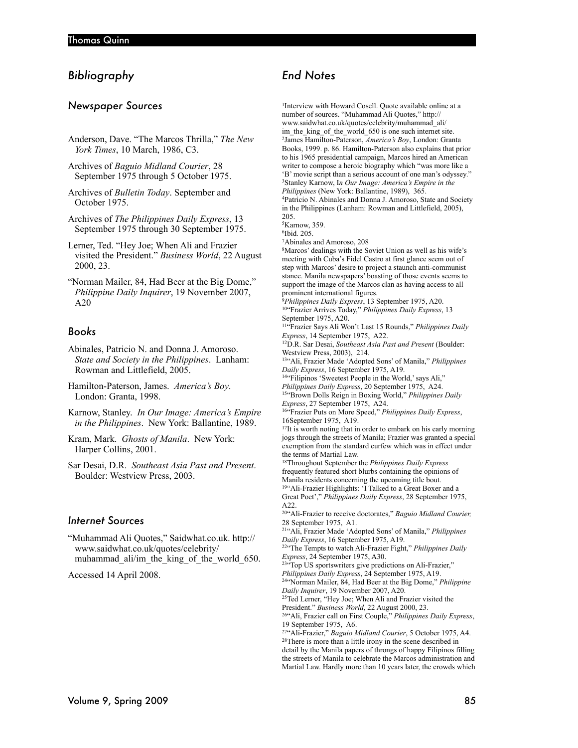# *Bibliography*

#### *Newspaper Sources*

- Anderson, Dave. "The Marcos Thrilla," *The New York Times*, 10 March, 1986, C3.
- Archives of *Baguio Midland Courier*, 28 September 1975 through 5 October 1975.
- Archives of *Bulletin Today*. September and October 1975.
- Archives of *The Philippines Daily Express*, 13 September 1975 through 30 September 1975.
- Lerner, Ted. "Hey Joe; When Ali and Frazier visited the President." *Business World*, 22 August 2000, 23.
- "Norman Mailer, 84, Had Beer at the Big Dome," *Philippine Daily Inquirer*, 19 November 2007, A20

#### *Books*

- Abinales, Patricio N. and Donna J. Amoroso. *State and Society in the Philippines*. Lanham: Rowman and Littlefield, 2005.
- Hamilton-Paterson, James. *America's Boy*. London: Granta, 1998.
- Karnow, Stanley. *In Our Image: America's Empire in the Philippines*. New York: Ballantine, 1989.
- Kram, Mark. *Ghosts of Manila*. New York: Harper Collins, 2001.
- Sar Desai, D.R. *Southeast Asia Past and Present*. Boulder: Westview Press, 2003.

#### *Internet Sources*

"Muhammad Ali Quotes," Saidwhat.co.uk. http:// www.saidwhat.co.uk/quotes/celebrity/ muhammad\_ali/im\_the\_king\_of\_the\_world\_650.

Accessed 14 April 2008.

# *End Notes*

1Interview with Howard Cosell. Quote available online at a number of sources. "Muhammad Ali Quotes," http:// www.saidwhat.co.uk/quotes/celebrity/muhammad\_ali/ im\_the\_king\_of\_the\_world\_650 is one such internet site. 2James Hamilton-Paterson, *America's Boy*, London: Granta Books, 1999. p. 86. Hamilton-Paterson also explains that prior to his 1965 presidential campaign, Marcos hired an American writer to compose a heroic biography which "was more like a 'B' movie script than a serious account of one man's odyssey." 3Stanley Karnow, I*n Our Image: America's Empire in the Philippines* (New York: Ballantine, 1989), 365. 4Patricio N. Abinales and Donna J. Amoroso, State and Society in the Philippines (Lanham: Rowman and Littlefield, 2005), 205.

5Karnow, 359. 6Ibid. 205.

7Abinales and Amoroso, 208

8Marcos' dealings with the Soviet Union as well as his wife's meeting with Cuba's Fidel Castro at first glance seem out of step with Marcos' desire to project a staunch anti-communist stance. Manila newspapers' boasting of those events seems to support the image of the Marcos clan as having access to all prominent international figures.

<sup>9</sup>*Philippines Daily Express*, 13 September 1975, A20. 10"Frazier Arrives Today," *Philippines Daily Express*, 13 September 1975, A20.

11"Frazier Says Ali Won't Last 15 Rounds," *Philippines Daily Express*, 14 September 1975, A22.

12D.R. Sar Desai, *Southeast Asia Past and Present* (Boulder: Westview Press, 2003), 214.

13"Ali, Frazier Made 'Adopted Sons' of Manila," *Philippines Daily Express*, 16 September 1975, A19.

14"Filipinos 'Sweetest People in the World,' says Ali,"

*Philippines Daily Express*, 20 September 1975, A24. 15"Brown Dolls Reign in Boxing World," *Philippines Daily Express*, 27 September 1975, A24.

16"Frazier Puts on More Speed," *Philippines Daily Express*, 16September 1975, A19.

<sup>17</sup>It is worth noting that in order to embark on his early morning jogs through the streets of Manila; Frazier was granted a special exemption from the standard curfew which was in effect under the terms of Martial Law. 18Throughout September the *Philippines Daily Express*

frequently featured short blurbs containing the opinions of Manila residents concerning the upcoming title bout. <sup>19"</sup>Ali-Frazier Highlights: 'I Talked to a Great Boxer and a

Great Poet'," *Philippines Daily Express*, 28 September 1975, A22.

20"Ali-Frazier to receive doctorates," *Baguio Midland Courier,* 28 September 1975, A1.

21"Ali, Frazier Made 'Adopted Sons' of Manila," *Philippines Daily Express*, 16 September 1975, A19.

22"The Tempts to watch Ali-Frazier Fight," *Philippines Daily Express*, 24 September 1975, A30.

<sup>23"</sup>Top US sportswriters give predictions on Ali-Frazier,"

*Philippines Daily Express*, 24 September 1975, A19.

24"Norman Mailer, 84, Had Beer at the Big Dome," *Philippine Daily Inquirer*, 19 November 2007, A20.

<sup>25</sup>Ted Lerner, "Hey Joe; When Ali and Frazier visited the President." *Business World*, 22 August 2000, 23.

<sup>26"</sup> Ali, Frazier call on First Couple," *Philippines Daily Express*, 19 September 1975, A6.

27"Ali-Frazier," *Baguio Midland Courier*, 5 October 1975, A4. 28There is more than a little irony in the scene described in detail by the Manila papers of throngs of happy Filipinos filling the streets of Manila to celebrate the Marcos administration and Martial Law. Hardly more than 10 years later, the crowds which